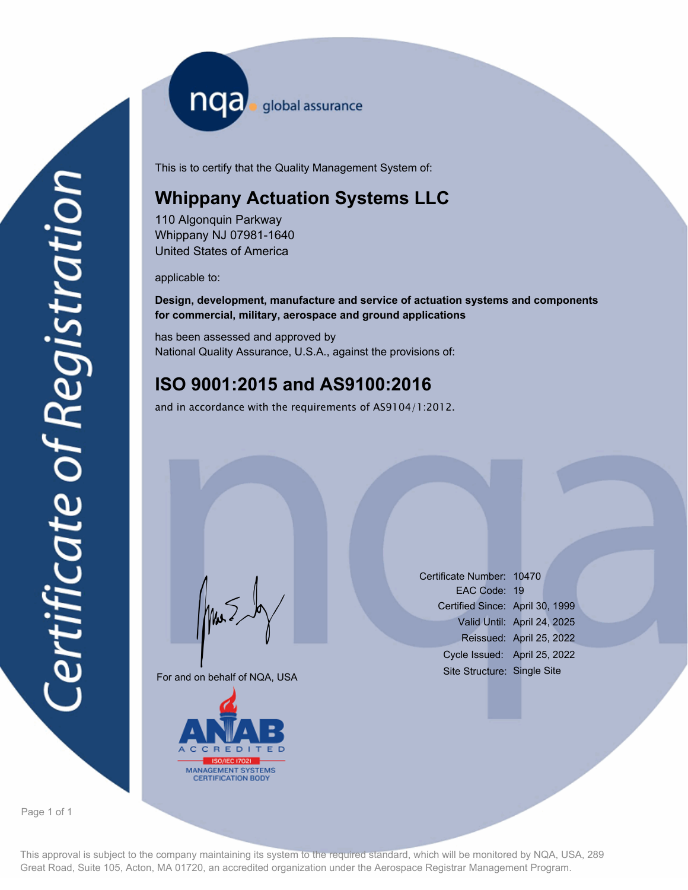nqa <sub>global assurance</sub>

This is to certify that the Quality Management System of:

# **Whippany Actuation Systems LLC**

110 Algonquin Parkway Whippany NJ 07981-1640 United States of America

applicable to:

**Design, development, manufacture and service of actuation systems and components for commercial, military, aerospace and ground applications**

has been assessed and approved by National Quality Assurance, U.S.A., against the provisions of:

### **ISO 9001:2015 and AS9100:2016**

and in accordance with the requirements of AS9104/1:2012.

For and on behalf of NQA, USA

Mus



Certificate Number: 10470 EAC Code: 19 Certified Since: April 30, 1999 Valid Until: April 24, 2025 Reissued: April 25, 2022 Cycle Issued: April 25, 2022 Site Structure: Single Site

Page 1 of 1

This approval is subject to the company maintaining its system to the required standard, which will be monitored by NQA, USA, 289 Great Road, Suite 105, Acton, MA 01720, an accredited organization under the Aerospace Registrar Management Program.